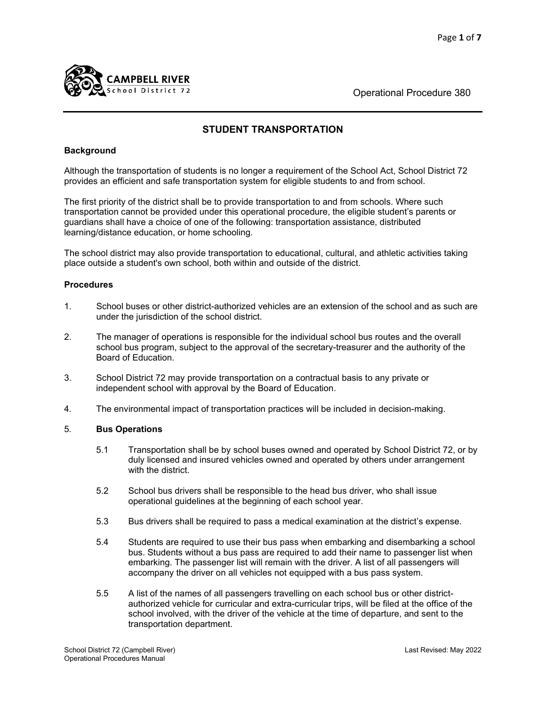

School District 72 Contract 2000 Contract 2000 Contract 2000 Contract 2000 Contract 2000 Contract 2000 Contract 2000 Contract 2000 Contract 2000 Contract 2000 Contract 2000 Contract 2000 Contract 2000 Contract 2000 Contrac

# **STUDENT TRANSPORTATION**

#### **Background**

Although the transportation of students is no longer a requirement of the School Act, School District 72 provides an efficient and safe transportation system for eligible students to and from school.

The first priority of the district shall be to provide transportation to and from schools. Where such transportation cannot be provided under this operational procedure, the eligible student's parents or guardians shall have a choice of one of the following: transportation assistance, distributed learning/distance education, or home schooling.

The school district may also provide transportation to educational, cultural, and athletic activities taking place outside a student's own school, both within and outside of the district.

## **Procedures**

- 1. School buses or other district-authorized vehicles are an extension of the school and as such are under the jurisdiction of the school district.
- 2. The manager of operations is responsible for the individual school bus routes and the overall school bus program, subject to the approval of the secretary-treasurer and the authority of the Board of Education.
- 3. School District 72 may provide transportation on a contractual basis to any private or independent school with approval by the Board of Education.
- 4. The environmental impact of transportation practices will be included in decision-making.

#### 5. **Bus Operations**

- 5.1 Transportation shall be by school buses owned and operated by School District 72, or by duly licensed and insured vehicles owned and operated by others under arrangement with the district.
- 5.2 School bus drivers shall be responsible to the head bus driver, who shall issue operational guidelines at the beginning of each school year.
- 5.3 Bus drivers shall be required to pass a medical examination at the district's expense.
- 5.4 Students are required to use their bus pass when embarking and disembarking a school bus. Students without a bus pass are required to add their name to passenger list when embarking. The passenger list will remain with the driver. A list of all passengers will accompany the driver on all vehicles not equipped with a bus pass system.
- 5.5 A list of the names of all passengers travelling on each school bus or other district authorized vehicle for curricular and extra-curricular trips, will be filed at the office of the school involved, with the driver of the vehicle at the time of departure, and sent to the transportation department.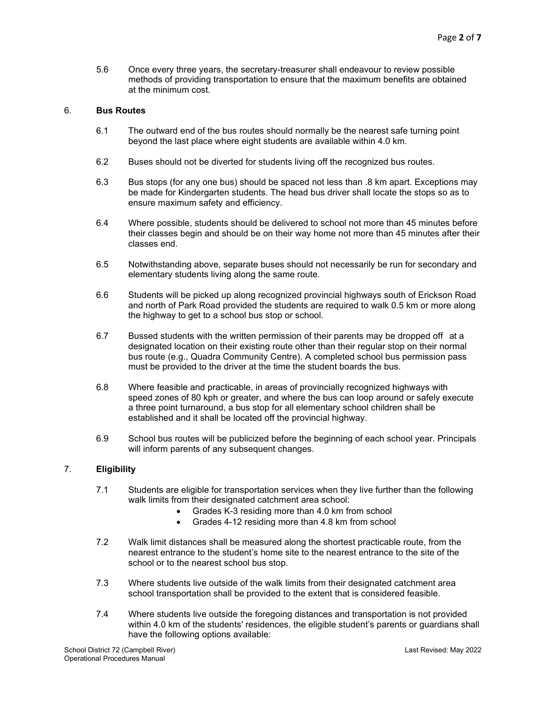5.6 Once every three years, the secretary-treasurer shall endeavour to review possible methods of providing transportation to ensure that the maximum benefits are obtained at the minimum cost.

#### 6. **Bus Routes**

- 6.1 The outward end of the bus routes should normally be the nearest safe turning point beyond the last place where eight students are available within 4.0 km.
- 6.2 Buses should not be diverted for students living off the recognized bus routes.
- 6.3 Bus stops (for any one bus) should be spaced not less than .8 km apart. Exceptions may be made for Kindergarten students. The head bus driver shall locate the stops so as to ensure maximum safety and efficiency.
- 6.4 Where possible, students should be delivered to school not more than 45 minutes before their classes begin and should be on their way home not more than 45 minutes after their classes end.
- 6.5 Notwithstanding above, separate buses should not necessarily be run for secondary and elementary students living along the same route.
- 6.6 Students will be picked up along recognized provincial highways south of Erickson Road and north of Park Road provided the students are required to walk 0.5 km or more along the highway to get to a school bus stop or school.
- 6.7 Bussed students with the written permission of their parents may be dropped off at a designated location on their existing route other than their regular stop on their normal bus route (e.g., Quadra Community Centre). A completed school bus permission pass must be provided to the driver at the time the student boards the bus.
- 6.8 Where feasible and practicable, in areas of provincially recognized highways with speed zones of 80 kph or greater, and where the bus can loop around or safely execute a three point turnaround, a bus stop for all elementary school children shall be established and it shall be located off the provincial highway.
- 6.9 School bus routes will be publicized before the beginning of each school year. Principals will inform parents of any subsequent changes.

## 7. **Eligibility**

- 7.1 Students are eligible for transportation services when they live further than the following walk limits from their designated catchment area school:
	- Grades K-3 residing more than 4.0 km from school
	- Grades 4-12 residing more than 4.8 km from school
- 7.2 Walk limit distances shall be measured along the shortest practicable route, from the nearest entrance to the student's home site to the nearest entrance to the site of the school or to the nearest school bus stop.
- 7.3 Where students live outside of the walk limits from their designated catchment area school transportation shall be provided to the extent that is considered feasible.
- 7.4 Where students live outside the foregoing distances and transportation is not provided within 4.0 km of the students' residences, the eligible student's parents or guardians shall have the following options available: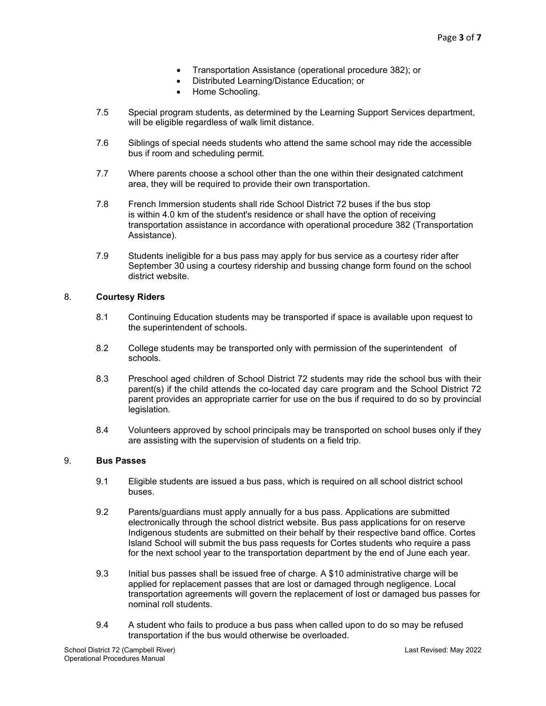- Transportation Assistance (operational procedure 382); or
- Distributed Learning/Distance Education; or
- Home Schooling.
- 7.5 Special program students, as determined by the Learning Support Services department, will be eligible regardless of walk limit distance.
- 7.6 Siblings of special needs students who attend the same school may ride the accessible bus if room and scheduling permit.
- 7.7 Where parents choose a school other than the one within their designated catchment area, they will be required to provide their own transportation.
- 7.8 French Immersion students shall ride School District 72 buses if the bus stop is within 4.0 km of the student's residence or shall have the option of receiving transportation assistance in accordance with operational procedure 382 (Transportation Assistance).
- 7.9 Students ineligible for a bus pass may apply for bus service as a courtesy rider after September 30 using a courtesy ridership and bussing change form found on the school district website.

#### 8. **Courtesy Riders**

- 8.1 Continuing Education students may be transported if space is available upon request to the superintendent of schools.
- 8.2 College students may be transported only with permission of the superintendent of schools.
- 8.3 Preschool aged children of School District 72 students may ride the school bus with their parent(s) if the child attends the co-located day care program and the School District 72 parent provides an appropriate carrier for use on the bus if required to do so by provincial legislation.
- 8.4 Volunteers approved by school principals may be transported on school buses only if they are assisting with the supervision of students on a field trip.

# 9. **Bus Passes**

- 9.1 Eligible students are issued a bus pass, which is required on all school district school buses.
- 9.2 Parents/guardians must apply annually for a bus pass. Applications are submitted electronically through the school district website. Bus pass applications for on reserve Indigenous students are submitted on their behalf by their respective band office. Cortes Island School will submit the bus pass requests for Cortes students who require a pass for the next school year to the transportation department by the end of June each year.
- 9.3 Initial bus passes shall be issued free of charge. A \$10 administrative charge will be applied for replacement passes that are lost or damaged through negligence. Local transportation agreements will govern the replacement of lost or damaged bus passes for nominal roll students.
- 9.4 A student who fails to produce a bus pass when called upon to do so may be refused transportation if the bus would otherwise be overloaded.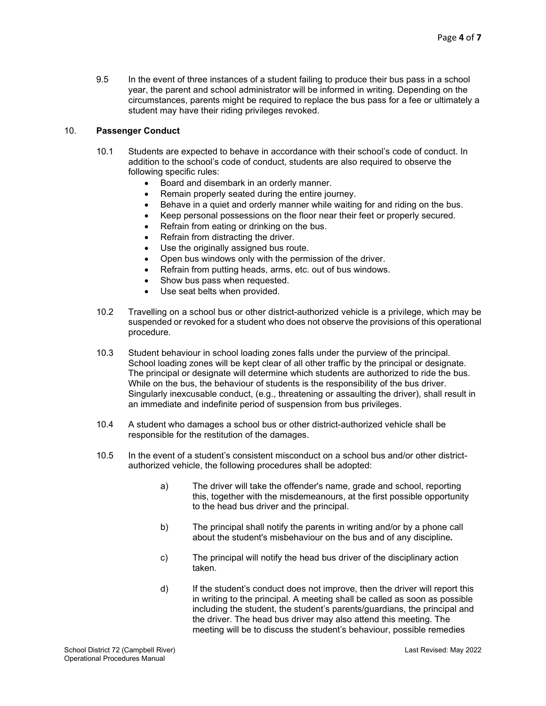9.5 In the event of three instances of a student failing to produce their bus pass in a school year, the parent and school administrator will be informed in writing. Depending on the circumstances, parents might be required to replace the bus pass for a fee or ultimately a student may have their riding privileges revoked.

# 10. **Passenger Conduct**

- 10.1 Students are expected to behave in accordance with their school's code of conduct. In addition to the school's code of conduct, students are also required to observe the following specific rules:
	- Board and disembark in an orderly manner.
	- Remain properly seated during the entire journey.
	- Behave in a quiet and orderly manner while waiting for and riding on the bus.
	- Keep personal possessions on the floor near their feet or properly secured.
		- Refrain from eating or drinking on the bus.
	- Refrain from distracting the driver.
	- Use the originally assigned bus route.
	- Open bus windows only with the permission of the driver.
	- Refrain from putting heads, arms, etc. out of bus windows.
	- Show bus pass when requested.
	- Use seat belts when provided.
- 10.2 Travelling on a school bus or other district-authorized vehicle is a privilege, which may be suspended or revoked for a student who does not observe the provisions of this operational procedure.
- 10.3 Student behaviour in school loading zones falls under the purview of the principal. School loading zones will be kept clear of all other traffic by the principal or designate. The principal or designate will determine which students are authorized to ride the bus. While on the bus, the behaviour of students is the responsibility of the bus driver. Singularly inexcusable conduct, (e.g., threatening or assaulting the driver), shall result in an immediate and indefinite period of suspension from bus privileges.
- 10.4 A student who damages a school bus or other district-authorized vehicle shall be responsible for the restitution of the damages.
- 10.5 In the event of a student's consistent misconduct on a school bus and/or other districtauthorized vehicle, the following procedures shall be adopted:
	- a) The driver will take the offender's name, grade and school, reporting this, together with the misdemeanours, at the first possible opportunity to the head bus driver and the principal.
	- b) The principal shall notify the parents in writing and/or by a phone call about the student's misbehaviour on the bus and of any discipline*.*
	- c) The principal will notify the head bus driver of the disciplinary action taken.
	- d) If the student's conduct does not improve, then the driver will report this in writing to the principal. A meeting shall be called as soon as possible including the student, the student's parents/guardians, the principal and the driver. The head bus driver may also attend this meeting. The meeting will be to discuss the student's behaviour, possible remedies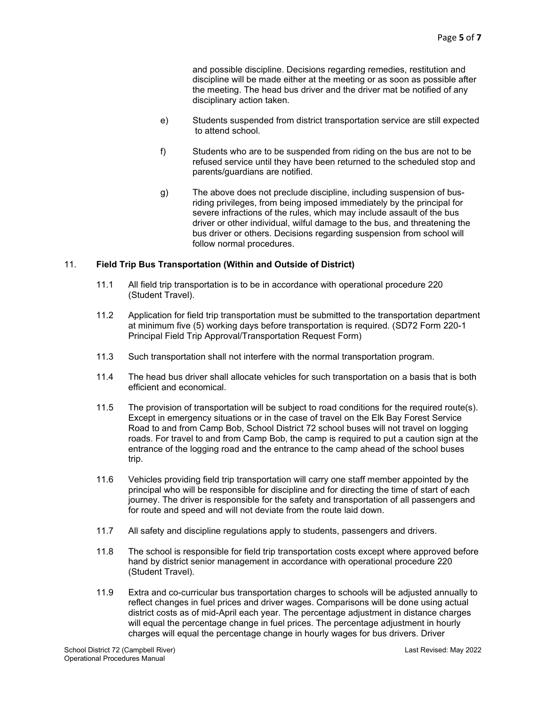and possible discipline. Decisions regarding remedies, restitution and discipline will be made either at the meeting or as soon as possible after the meeting. The head bus driver and the driver mat be notified of any disciplinary action taken.

- e) Students suspended from district transportation service are still expected to attend school.
- f) Students who are to be suspended from riding on the bus are not to be refused service until they have been returned to the scheduled stop and parents/guardians are notified.
- g) The above does not preclude discipline, including suspension of busriding privileges, from being imposed immediately by the principal for severe infractions of the rules, which may include assault of the bus driver or other individual, wilful damage to the bus, and threatening the bus driver or others. Decisions regarding suspension from school will follow normal procedures.

## 11. **Field Trip Bus Transportation (Within and Outside of District)**

- 11.1 All field trip transportation is to be in accordance with operational procedure 220 (Student Travel).
- 11.2 Application for field trip transportation must be submitted to the transportation department at minimum five (5) working days before transportation is required. (SD72 Form 220-1 Principal Field Trip Approval/Transportation Request Form)
- 11.3 Such transportation shall not interfere with the normal transportation program.
- 11.4 The head bus driver shall allocate vehicles for such transportation on a basis that is both efficient and economical.
- 11.5 The provision of transportation will be subject to road conditions for the required route(s). Except in emergency situations or in the case of travel on the Elk Bay Forest Service Road to and from Camp Bob, School District 72 school buses will not travel on logging roads. For travel to and from Camp Bob, the camp is required to put a caution sign at the entrance of the logging road and the entrance to the camp ahead of the school buses trip.
- 11.6 Vehicles providing field trip transportation will carry one staff member appointed by the principal who will be responsible for discipline and for directing the time of start of each journey. The driver is responsible for the safety and transportation of all passengers and for route and speed and will not deviate from the route laid down.
- 11.7 All safety and discipline regulations apply to students, passengers and drivers.
- 11.8 The school is responsible for field trip transportation costs except where approved before hand by district senior management in accordance with operational procedure 220 (Student Travel).
- 11.9 Extra and co-curricular bus transportation charges to schools will be adjusted annually to reflect changes in fuel prices and driver wages. Comparisons will be done using actual district costs as of mid-April each year. The percentage adjustment in distance charges will equal the percentage change in fuel prices. The percentage adjustment in hourly charges will equal the percentage change in hourly wages for bus drivers. Driver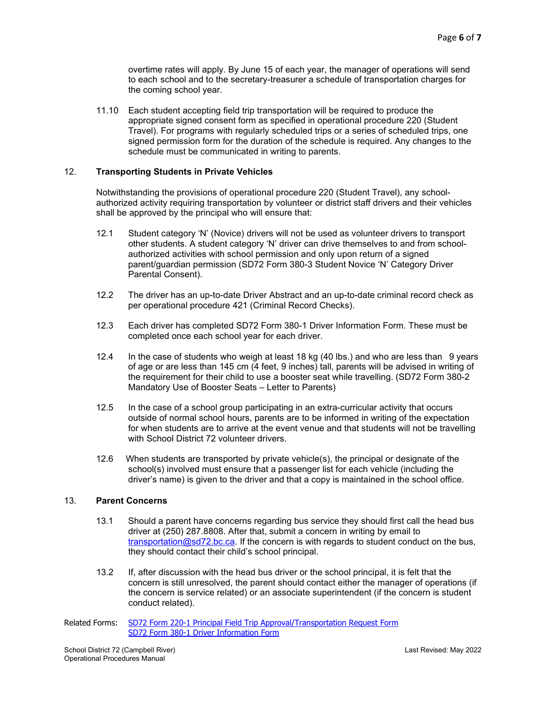overtime rates will apply. By June 15 of each year, the manager of operations will send to each school and to the secretary-treasurer a schedule of transportation charges for the coming school year.

11.10 Each student accepting field trip transportation will be required to produce the appropriate signed consent form as specified in operational procedure 220 (Student Travel). For programs with regularly scheduled trips or a series of scheduled trips, one signed permission form for the duration of the schedule is required. Any changes to the schedule must be communicated in writing to parents.

#### 12. **Transporting Students in Private Vehicles**

Notwithstanding the provisions of operational procedure 220 (Student Travel), any schoolauthorized activity requiring transportation by volunteer or district staff drivers and their vehicles shall be approved by the principal who will ensure that:

- 12.1 Student category 'N' (Novice) drivers will not be used as volunteer drivers to transport other students. A student category 'N' driver can drive themselves to and from school authorized activities with school permission and only upon return of a signed parent/guardian permission (SD72 Form 380-3 Student Novice 'N' Category Driver Parental Consent).
- 12.2 The driver has an up-to-date Driver Abstract and an up-to-date criminal record check as per operational procedure 421 (Criminal Record Checks).
- 12.3 Each driver has completed SD72 Form 380-1 Driver Information Form. These must be completed once each school year for each driver.
- 12.4 In the case of students who weigh at least 18 kg (40 lbs.) and who are less than 9 years of age or are less than 145 cm (4 feet, 9 inches) tall, parents will be advised in writing of the requirement for their child to use a booster seat while travelling. (SD72 Form 380-2 Mandatory Use of Booster Seats – Letter to Parents)
- 12.5 In the case of a school group participating in an extra-curricular activity that occurs outside of normal school hours, parents are to be informed in writing of the expectation for when students are to arrive at the event venue and that students will not be travelling with School District 72 volunteer drivers.
- 12.6 When students are transported by private vehicle(s), the principal or designate of the school(s) involved must ensure that a passenger list for each vehicle (including the driver's name) is given to the driver and that a copy is maintained in the school office.

#### 13. **Parent Concerns**

- 13.1 Should a parent have concerns regarding bus service they should first call the head bus driver at (250) 287.8808. After that, submit a concern in writing by email to [transportation@sd72.bc.ca.](mailto:transportation@sd72.bc.ca) If the concern is with regards to student conduct on the bus, they should contact their child's school principal.
- 13.2 If, after discussion with the head bus driver or the school principal, it is felt that the concern is still unresolved, the parent should contact either the manager of operations (if the concern is service related) or an associate superintendent (if the concern is student conduct related).
- Related Forms: [SD72 Form 220-1 Principal Field Trip Approval/Transportation Request Form](https://portal.sd72.bc.ca/Forms/opformsmanual/Documents/Form%20220-1%20Principal%20Field%20Trip%20Approval%20and%20Transportation%20Request%20Form.pdf) [SD72 Form 380-1 Driver Information Form](https://portal.sd72.bc.ca/Forms/opformsmanual/Documents/Form%20380-1%20Driver%20Information.pdf)